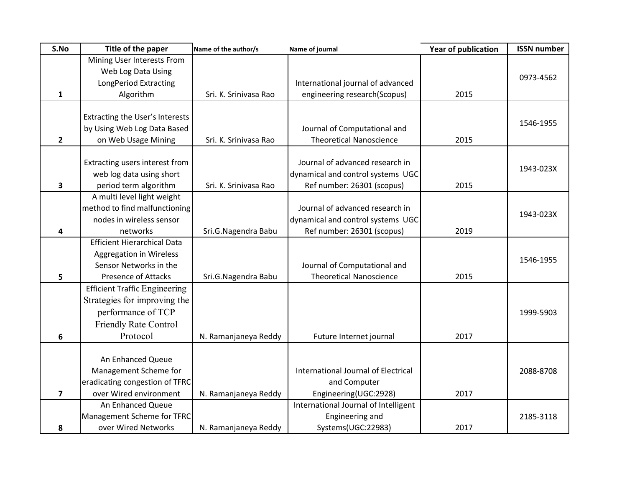| S.No         | Title of the paper                   | Name of the author/s  | Name of journal                      | <b>Year of publication</b> | <b>ISSN number</b> |
|--------------|--------------------------------------|-----------------------|--------------------------------------|----------------------------|--------------------|
|              | Mining User Interests From           |                       |                                      |                            |                    |
|              | Web Log Data Using                   |                       |                                      |                            | 0973-4562          |
|              | <b>LongPeriod Extracting</b>         |                       | International journal of advanced    |                            |                    |
| 1            | Algorithm                            | Sri. K. Srinivasa Rao | engineering research(Scopus)         | 2015                       |                    |
|              |                                      |                       |                                      |                            |                    |
|              | Extracting the User's Interests      |                       |                                      |                            | 1546-1955          |
|              | by Using Web Log Data Based          |                       | Journal of Computational and         |                            |                    |
| $\mathbf{2}$ | on Web Usage Mining                  | Sri. K. Srinivasa Rao | <b>Theoretical Nanoscience</b>       | 2015                       |                    |
|              |                                      |                       |                                      |                            |                    |
|              | Extracting users interest from       |                       | Journal of advanced research in      |                            | 1943-023X          |
|              | web log data using short             |                       | dynamical and control systems UGC    |                            |                    |
| 3            | period term algorithm                | Sri. K. Srinivasa Rao | Ref number: 26301 (scopus)           | 2015                       |                    |
|              | A multi level light weight           |                       |                                      |                            |                    |
|              | method to find malfunctioning        |                       | Journal of advanced research in      |                            | 1943-023X          |
|              | nodes in wireless sensor             |                       | dynamical and control systems UGC    |                            |                    |
| 4            | networks                             | Sri.G.Nagendra Babu   | Ref number: 26301 (scopus)           | 2019                       |                    |
|              | <b>Efficient Hierarchical Data</b>   |                       |                                      |                            |                    |
|              | <b>Aggregation in Wireless</b>       |                       |                                      |                            | 1546-1955          |
|              | Sensor Networks in the               |                       | Journal of Computational and         |                            |                    |
| 5            | <b>Presence of Attacks</b>           | Sri.G.Nagendra Babu   | <b>Theoretical Nanoscience</b>       | 2015                       |                    |
|              | <b>Efficient Traffic Engineering</b> |                       |                                      |                            |                    |
|              | Strategies for improving the         |                       |                                      |                            |                    |
|              | performance of TCP                   |                       |                                      |                            | 1999-5903          |
|              | <b>Friendly Rate Control</b>         |                       |                                      |                            |                    |
| 6            | Protocol                             | N. Ramanjaneya Reddy  | Future Internet journal              | 2017                       |                    |
|              |                                      |                       |                                      |                            |                    |
|              | An Enhanced Queue                    |                       |                                      |                            |                    |
|              | Management Scheme for                |                       | International Journal of Electrical  |                            | 2088-8708          |
|              | eradicating congestion of TFRC       |                       | and Computer                         |                            |                    |
| 7            | over Wired environment               | N. Ramanjaneya Reddy  | Engineering(UGC:2928)                | 2017                       |                    |
|              | An Enhanced Queue                    |                       | International Journal of Intelligent |                            |                    |
|              | Management Scheme for TFRC           |                       | Engineering and                      |                            | 2185-3118          |
| 8            | over Wired Networks                  | N. Ramanjaneya Reddy  | Systems(UGC:22983)                   | 2017                       |                    |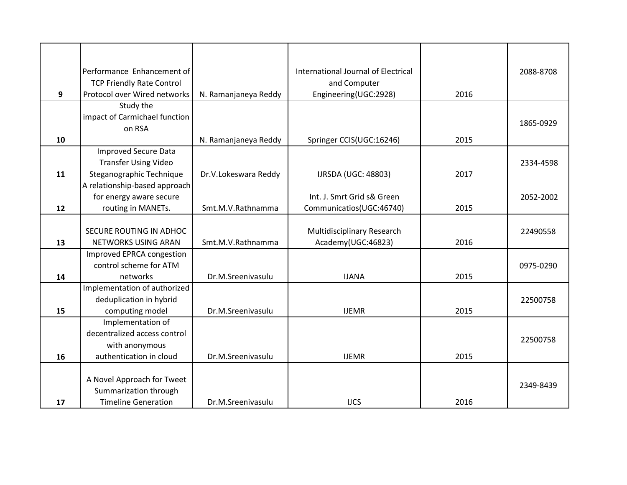|    | Performance Enhancement of       |                      | International Journal of Electrical |      | 2088-8708 |
|----|----------------------------------|----------------------|-------------------------------------|------|-----------|
|    | <b>TCP Friendly Rate Control</b> |                      | and Computer                        |      |           |
| 9  | Protocol over Wired networks     | N. Ramanjaneya Reddy | Engineering(UGC:2928)               | 2016 |           |
|    | Study the                        |                      |                                     |      |           |
|    | impact of Carmichael function    |                      |                                     |      | 1865-0929 |
|    | on RSA                           |                      |                                     |      |           |
| 10 |                                  | N. Ramanjaneya Reddy | Springer CCIS(UGC:16246)            | 2015 |           |
|    | <b>Improved Secure Data</b>      |                      |                                     |      |           |
|    | <b>Transfer Using Video</b>      |                      |                                     |      | 2334-4598 |
| 11 | Steganographic Technique         | Dr.V.Lokeswara Reddy | <b>IJRSDA (UGC: 48803)</b>          | 2017 |           |
|    | A relationship-based approach    |                      |                                     |      |           |
|    | for energy aware secure          |                      | Int. J. Smrt Grid s& Green          |      | 2052-2002 |
| 12 | routing in MANETs.               | Smt.M.V.Rathnamma    | Communicatios(UGC:46740)            | 2015 |           |
|    |                                  |                      |                                     |      |           |
|    | SECURE ROUTING IN ADHOC          |                      | Multidisciplinary Research          |      | 22490558  |
| 13 | NETWORKS USING ARAN              | Smt.M.V.Rathnamma    | Academy(UGC:46823)                  | 2016 |           |
|    | Improved EPRCA congestion        |                      |                                     |      |           |
|    | control scheme for ATM           |                      |                                     |      | 0975-0290 |
| 14 | networks                         | Dr.M.Sreenivasulu    | <b>IJANA</b>                        | 2015 |           |
|    | Implementation of authorized     |                      |                                     |      |           |
|    | deduplication in hybrid          |                      |                                     |      | 22500758  |
| 15 | computing model                  | Dr.M.Sreenivasulu    | <b>IJEMR</b>                        | 2015 |           |
|    | Implementation of                |                      |                                     |      |           |
|    | decentralized access control     |                      |                                     |      |           |
|    | with anonymous                   |                      |                                     |      | 22500758  |
| 16 | authentication in cloud          | Dr.M.Sreenivasulu    | <b>IJEMR</b>                        | 2015 |           |
|    |                                  |                      |                                     |      |           |
|    | A Novel Approach for Tweet       |                      |                                     |      |           |
|    | Summarization through            |                      |                                     |      | 2349-8439 |
| 17 | <b>Timeline Generation</b>       | Dr.M.Sreenivasulu    | <b>IJCS</b>                         | 2016 |           |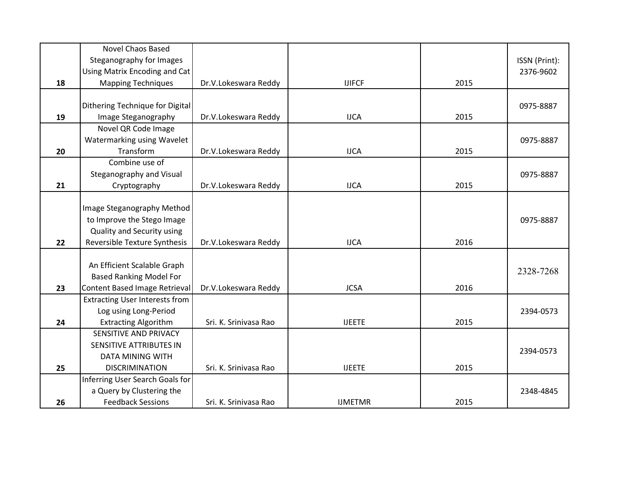|    | <b>Novel Chaos Based</b>              |                       |                |      |               |
|----|---------------------------------------|-----------------------|----------------|------|---------------|
|    | Steganography for Images              |                       |                |      | ISSN (Print): |
|    | Using Matrix Encoding and Cat         |                       |                |      | 2376-9602     |
| 18 | <b>Mapping Techniques</b>             | Dr.V.Lokeswara Reddy  | <b>IJIFCF</b>  | 2015 |               |
|    |                                       |                       |                |      |               |
|    | Dithering Technique for Digital       |                       |                |      | 0975-8887     |
| 19 | Image Steganography                   | Dr.V.Lokeswara Reddy  | <b>IJCA</b>    | 2015 |               |
|    | Novel QR Code Image                   |                       |                |      |               |
|    | Watermarking using Wavelet            |                       |                |      | 0975-8887     |
| 20 | Transform                             | Dr.V.Lokeswara Reddy  | <b>IJCA</b>    | 2015 |               |
|    | Combine use of                        |                       |                |      |               |
|    | Steganography and Visual              |                       |                |      | 0975-8887     |
| 21 | Cryptography                          | Dr.V.Lokeswara Reddy  | <b>IJCA</b>    | 2015 |               |
|    |                                       |                       |                |      |               |
|    | Image Steganography Method            |                       |                |      |               |
|    | to Improve the Stego Image            |                       |                |      | 0975-8887     |
|    | Quality and Security using            |                       |                |      |               |
| 22 | Reversible Texture Synthesis          | Dr.V.Lokeswara Reddy  | <b>IJCA</b>    | 2016 |               |
|    |                                       |                       |                |      |               |
|    | An Efficient Scalable Graph           |                       |                |      |               |
|    | <b>Based Ranking Model For</b>        |                       |                |      | 2328-7268     |
| 23 | Content Based Image Retrieval         | Dr.V.Lokeswara Reddy  | <b>JCSA</b>    | 2016 |               |
|    | <b>Extracting User Interests from</b> |                       |                |      |               |
|    | Log using Long-Period                 |                       |                |      | 2394-0573     |
| 24 | <b>Extracting Algorithm</b>           | Sri. K. Srinivasa Rao | <b>IJEETE</b>  | 2015 |               |
|    | SENSITIVE AND PRIVACY                 |                       |                |      |               |
|    | SENSITIVE ATTRIBUTES IN               |                       |                |      |               |
|    | <b>DATA MINING WITH</b>               |                       |                |      | 2394-0573     |
| 25 | <b>DISCRIMINATION</b>                 | Sri. K. Srinivasa Rao | <b>IJEETE</b>  | 2015 |               |
|    | Inferring User Search Goals for       |                       |                |      |               |
|    | a Query by Clustering the             |                       |                |      | 2348-4845     |
| 26 | <b>Feedback Sessions</b>              | Sri. K. Srinivasa Rao | <b>IJMETMR</b> | 2015 |               |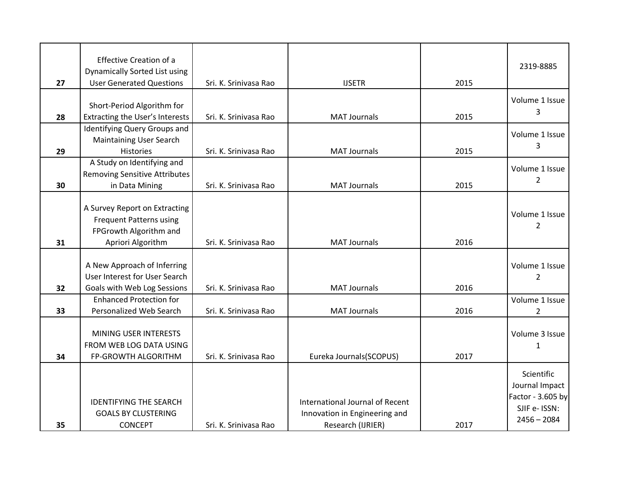|    | <b>Effective Creation of a</b>       |                       |                                 |      | 2319-8885         |
|----|--------------------------------------|-----------------------|---------------------------------|------|-------------------|
|    | Dynamically Sorted List using        |                       |                                 |      |                   |
| 27 | <b>User Generated Questions</b>      | Sri. K. Srinivasa Rao | <b>IJSETR</b>                   | 2015 |                   |
|    |                                      |                       |                                 |      | Volume 1 Issue    |
|    | Short-Period Algorithm for           |                       |                                 |      | 3                 |
| 28 | Extracting the User's Interests      | Sri. K. Srinivasa Rao | <b>MAT Journals</b>             | 2015 |                   |
|    | Identifying Query Groups and         |                       |                                 |      | Volume 1 Issue    |
|    | <b>Maintaining User Search</b>       |                       |                                 |      | 3                 |
| 29 | <b>Histories</b>                     | Sri. K. Srinivasa Rao | <b>MAT Journals</b>             | 2015 |                   |
|    | A Study on Identifying and           |                       |                                 |      | Volume 1 Issue    |
|    | <b>Removing Sensitive Attributes</b> |                       |                                 |      | $\overline{2}$    |
| 30 | in Data Mining                       | Sri. K. Srinivasa Rao | <b>MAT Journals</b>             | 2015 |                   |
|    |                                      |                       |                                 |      |                   |
|    | A Survey Report on Extracting        |                       |                                 |      | Volume 1 Issue    |
|    | <b>Frequent Patterns using</b>       |                       |                                 |      | $\overline{2}$    |
|    | FPGrowth Algorithm and               |                       |                                 |      |                   |
| 31 | Apriori Algorithm                    | Sri. K. Srinivasa Rao | <b>MAT Journals</b>             | 2016 |                   |
|    |                                      |                       |                                 |      |                   |
|    | A New Approach of Inferring          |                       |                                 |      | Volume 1 Issue    |
|    | User Interest for User Search        |                       |                                 |      | 2                 |
| 32 | Goals with Web Log Sessions          | Sri. K. Srinivasa Rao | <b>MAT Journals</b>             | 2016 |                   |
|    | <b>Enhanced Protection for</b>       |                       |                                 |      | Volume 1 Issue    |
| 33 | Personalized Web Search              | Sri. K. Srinivasa Rao | <b>MAT Journals</b>             | 2016 | $\overline{2}$    |
|    |                                      |                       |                                 |      |                   |
|    | MINING USER INTERESTS                |                       |                                 |      | Volume 3 Issue    |
|    | FROM WEB LOG DATA USING              |                       |                                 |      | $\mathbf{1}$      |
| 34 | FP-GROWTH ALGORITHM                  | Sri. K. Srinivasa Rao | Eureka Journals(SCOPUS)         | 2017 |                   |
|    |                                      |                       |                                 |      | Scientific        |
|    |                                      |                       |                                 |      | Journal Impact    |
|    |                                      |                       |                                 |      | Factor - 3.605 by |
|    | <b>IDENTIFYING THE SEARCH</b>        |                       | International Journal of Recent |      | SJIF e- ISSN:     |
|    | <b>GOALS BY CLUSTERING</b>           |                       | Innovation in Engineering and   |      | $2456 - 2084$     |
| 35 | <b>CONCEPT</b>                       | Sri. K. Srinivasa Rao | Research (IJRIER)               | 2017 |                   |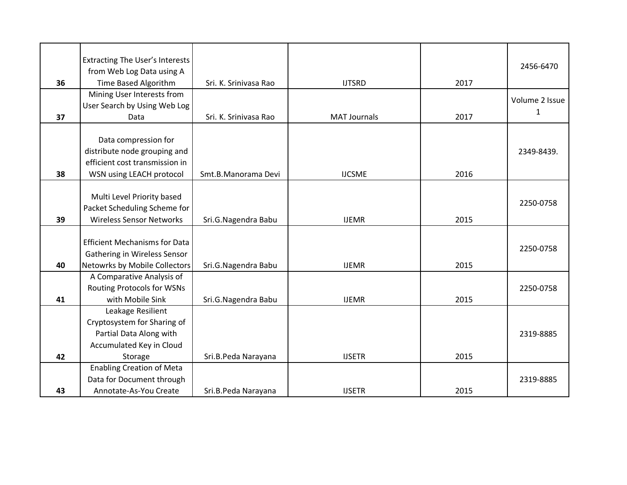|    | <b>Extracting The User's Interests</b><br>from Web Log Data using A |                       |                     |      | 2456-6470      |
|----|---------------------------------------------------------------------|-----------------------|---------------------|------|----------------|
| 36 | Time Based Algorithm                                                | Sri. K. Srinivasa Rao | <b>IJTSRD</b>       | 2017 |                |
|    | Mining User Interests from                                          |                       |                     |      |                |
|    | User Search by Using Web Log                                        |                       |                     |      | Volume 2 Issue |
| 37 | Data                                                                | Sri. K. Srinivasa Rao | <b>MAT Journals</b> | 2017 | 1              |
|    |                                                                     |                       |                     |      |                |
|    | Data compression for                                                |                       |                     |      |                |
|    | distribute node grouping and                                        |                       |                     |      | 2349-8439.     |
|    | efficient cost transmission in                                      |                       |                     |      |                |
| 38 | WSN using LEACH protocol                                            | Smt.B.Manorama Devi   | <b>IJCSME</b>       | 2016 |                |
|    |                                                                     |                       |                     |      |                |
|    | Multi Level Priority based                                          |                       |                     |      |                |
|    | Packet Scheduling Scheme for                                        |                       |                     |      | 2250-0758      |
| 39 | <b>Wireless Sensor Networks</b>                                     | Sri.G.Nagendra Babu   | <b>IJEMR</b>        | 2015 |                |
|    |                                                                     |                       |                     |      |                |
|    | <b>Efficient Mechanisms for Data</b>                                |                       |                     |      |                |
|    | Gathering in Wireless Sensor                                        |                       |                     |      | 2250-0758      |
| 40 | Netowrks by Mobile Collectors                                       | Sri.G.Nagendra Babu   | <b>IJEMR</b>        | 2015 |                |
|    | A Comparative Analysis of                                           |                       |                     |      |                |
|    | <b>Routing Protocols for WSNs</b>                                   |                       |                     |      |                |
|    | with Mobile Sink                                                    |                       | <b>IJEMR</b>        | 2015 | 2250-0758      |
| 41 |                                                                     | Sri.G.Nagendra Babu   |                     |      |                |
|    | Leakage Resilient                                                   |                       |                     |      |                |
|    | Cryptosystem for Sharing of                                         |                       |                     |      |                |
|    | Partial Data Along with                                             |                       |                     |      | 2319-8885      |
|    | Accumulated Key in Cloud                                            |                       |                     |      |                |
| 42 | Storage                                                             | Sri.B.Peda Narayana   | <b>IJSETR</b>       | 2015 |                |
|    | <b>Enabling Creation of Meta</b>                                    |                       |                     |      |                |
|    | Data for Document through                                           |                       |                     |      | 2319-8885      |
| 43 | Annotate-As-You Create                                              | Sri.B.Peda Narayana   | <b>IJSETR</b>       | 2015 |                |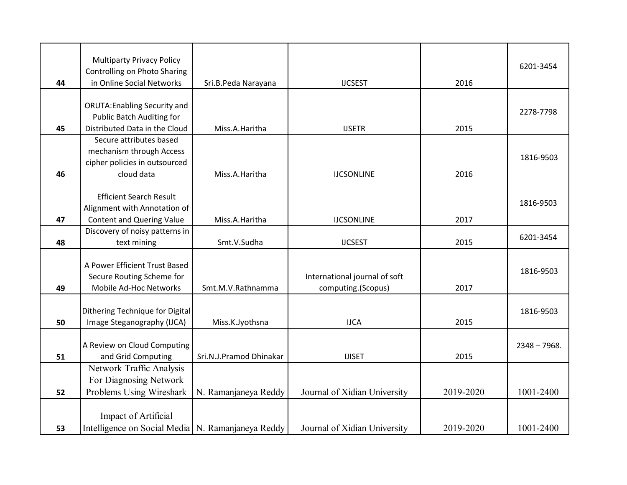| 44 | <b>Multiparty Privacy Policy</b><br>Controlling on Photo Sharing<br>in Online Social Networks | Sri.B.Peda Narayana     | <b>IJCSEST</b>                | 2016      | 6201-3454      |
|----|-----------------------------------------------------------------------------------------------|-------------------------|-------------------------------|-----------|----------------|
|    | <b>ORUTA: Enabling Security and</b>                                                           |                         |                               |           |                |
|    | <b>Public Batch Auditing for</b>                                                              |                         |                               |           | 2278-7798      |
| 45 | Distributed Data in the Cloud                                                                 | Miss.A.Haritha          | <b>IJSETR</b>                 | 2015      |                |
|    | Secure attributes based                                                                       |                         |                               |           |                |
|    | mechanism through Access                                                                      |                         |                               |           |                |
|    | cipher policies in outsourced                                                                 |                         |                               |           | 1816-9503      |
| 46 | cloud data                                                                                    | Miss.A.Haritha          | <b>IJCSONLINE</b>             | 2016      |                |
|    | <b>Efficient Search Result</b>                                                                |                         |                               |           |                |
|    | Alignment with Annotation of                                                                  |                         |                               |           | 1816-9503      |
| 47 | <b>Content and Quering Value</b>                                                              | Miss.A.Haritha          | <b>IJCSONLINE</b>             | 2017      |                |
|    | Discovery of noisy patterns in                                                                |                         |                               |           | 6201-3454      |
| 48 | text mining                                                                                   | Smt.V.Sudha             | <b>IJCSEST</b>                | 2015      |                |
|    |                                                                                               |                         |                               |           |                |
|    | A Power Efficient Trust Based                                                                 |                         |                               |           | 1816-9503      |
| 49 | Secure Routing Scheme for<br>Mobile Ad-Hoc Networks                                           |                         | International journal of soft |           |                |
|    |                                                                                               | Smt.M.V.Rathnamma       | computing.(Scopus)            | 2017      |                |
|    | Dithering Technique for Digital                                                               |                         |                               |           | 1816-9503      |
| 50 | Image Steganography (IJCA)                                                                    | Miss.K.Jyothsna         | <b>IJCA</b>                   | 2015      |                |
|    |                                                                                               |                         |                               |           |                |
|    | A Review on Cloud Computing                                                                   |                         |                               |           | $2348 - 7968.$ |
| 51 | and Grid Computing                                                                            | Sri.N.J.Pramod Dhinakar | <b>IJISET</b>                 | 2015      |                |
|    | Network Traffic Analysis                                                                      |                         |                               |           |                |
|    | For Diagnosing Network                                                                        |                         |                               |           |                |
| 52 | Problems Using Wireshark                                                                      | N. Ramanjaneya Reddy    | Journal of Xidian University  | 2019-2020 | 1001-2400      |
|    |                                                                                               |                         |                               |           |                |
|    | Impact of Artificial                                                                          |                         |                               |           |                |
| 53 | Intelligence on Social Media   N. Ramanjaneya Reddy                                           |                         | Journal of Xidian University  | 2019-2020 | 1001-2400      |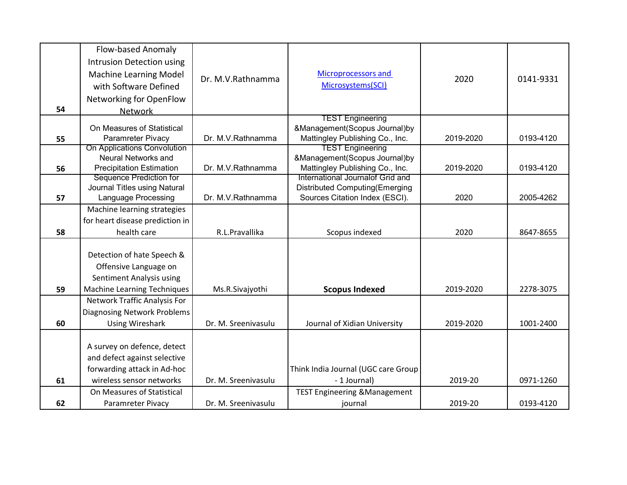|    | Flow-based Anomaly                                         |                     |                                                                         |           |           |
|----|------------------------------------------------------------|---------------------|-------------------------------------------------------------------------|-----------|-----------|
|    | Intrusion Detection using                                  |                     |                                                                         |           |           |
|    | <b>Machine Learning Model</b>                              |                     | Microprocessors and                                                     |           |           |
|    | with Software Defined                                      | Dr. M.V.Rathnamma   | Microsystems(SCI)                                                       | 2020      | 0141-9331 |
|    |                                                            |                     |                                                                         |           |           |
|    | Networking for OpenFlow                                    |                     |                                                                         |           |           |
| 54 | <b>Network</b>                                             |                     | <b>TEST Engineering</b>                                                 |           |           |
|    | On Measures of Statistical                                 |                     | &Management(Scopus Journal)by                                           |           |           |
| 55 | Paramreter Pivacy                                          | Dr. M.V.Rathnamma   | Mattingley Publishing Co., Inc.                                         | 2019-2020 | 0193-4120 |
|    | On Applications Convolution                                |                     | <b>TEST Engineering</b>                                                 |           |           |
|    | <b>Neural Networks and</b>                                 |                     | &Management(Scopus Journal)by                                           |           |           |
| 56 | <b>Precipitation Estimation</b>                            | Dr. M.V.Rathnamma   | Mattingley Publishing Co., Inc.                                         | 2019-2020 | 0193-4120 |
|    | <b>Sequence Prediction for</b>                             |                     | International Journalof Grid and                                        |           |           |
| 57 | Journal Titles using Natural<br><b>Language Processing</b> | Dr. M.V.Rathnamma   | <b>Distributed Computing(Emerging</b><br>Sources Citation Index (ESCI). | 2020      | 2005-4262 |
|    |                                                            |                     |                                                                         |           |           |
|    | Machine learning strategies                                |                     |                                                                         |           |           |
|    | for heart disease prediction in                            |                     |                                                                         |           |           |
| 58 | health care                                                | R.L.Pravallika      | Scopus indexed                                                          | 2020      | 8647-8655 |
|    |                                                            |                     |                                                                         |           |           |
|    | Detection of hate Speech &                                 |                     |                                                                         |           |           |
|    | Offensive Language on                                      |                     |                                                                         |           |           |
|    | Sentiment Analysis using                                   |                     |                                                                         |           |           |
| 59 | <b>Machine Learning Techniques</b>                         | Ms.R.Sivajyothi     | <b>Scopus Indexed</b>                                                   | 2019-2020 | 2278-3075 |
|    | <b>Network Traffic Analysis For</b>                        |                     |                                                                         |           |           |
|    | <b>Diagnosing Network Problems</b>                         |                     |                                                                         |           |           |
| 60 | <b>Using Wireshark</b>                                     | Dr. M. Sreenivasulu | Journal of Xidian University                                            | 2019-2020 | 1001-2400 |
|    |                                                            |                     |                                                                         |           |           |
|    | A survey on defence, detect                                |                     |                                                                         |           |           |
|    | and defect against selective                               |                     |                                                                         |           |           |
|    | forwarding attack in Ad-hoc                                |                     | Think India Journal (UGC care Group                                     |           |           |
|    |                                                            |                     |                                                                         |           |           |
| 61 | wireless sensor networks                                   | Dr. M. Sreenivasulu | - 1 Journal)                                                            | 2019-20   | 0971-1260 |
|    | On Measures of Statistical                                 |                     | <b>TEST Engineering &amp; Management</b>                                |           |           |